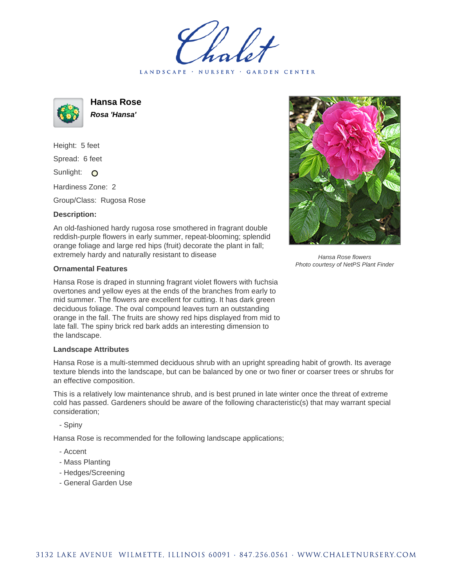LANDSCAPE · NURSERY · GARDEN CENTER



**Hansa Rose Rosa 'Hansa'**

Height: 5 feet Spread: 6 feet Sunlight: O

Hardiness Zone: 2

Group/Class: Rugosa Rose

## **Description:**

An old-fashioned hardy rugosa rose smothered in fragrant double reddish-purple flowers in early summer, repeat-blooming; splendid orange foliage and large red hips (fruit) decorate the plant in fall; extremely hardy and naturally resistant to disease

## **Ornamental Features**

Hansa Rose is draped in stunning fragrant violet flowers with fuchsia overtones and yellow eyes at the ends of the branches from early to mid summer. The flowers are excellent for cutting. It has dark green deciduous foliage. The oval compound leaves turn an outstanding orange in the fall. The fruits are showy red hips displayed from mid to late fall. The spiny brick red bark adds an interesting dimension to the landscape.

## **Landscape Attributes**

Hansa Rose is a multi-stemmed deciduous shrub with an upright spreading habit of growth. Its average texture blends into the landscape, but can be balanced by one or two finer or coarser trees or shrubs for an effective composition.

This is a relatively low maintenance shrub, and is best pruned in late winter once the threat of extreme cold has passed. Gardeners should be aware of the following characteristic(s) that may warrant special consideration;

- Spiny

Hansa Rose is recommended for the following landscape applications;

- Accent
- Mass Planting
- Hedges/Screening
- General Garden Use



Hansa Rose flowers Photo courtesy of NetPS Plant Finder